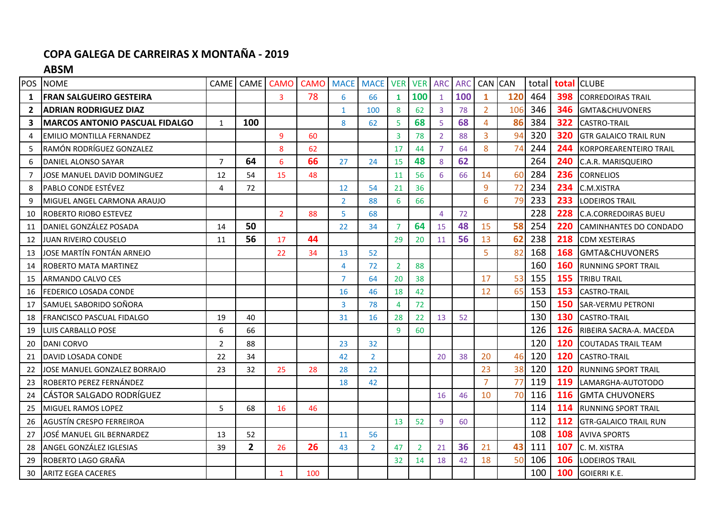## **COPA GALEGA DE CARREIRAS X MONTAÑA - 2019**

**ABSM**

| POS          | <b>NOME</b>                            |                | CAME CAME      | <b>CAMO</b>    | <b>CAMO MACE</b> |                | <b>MACE</b>    | <b>VER</b>     | <b>VER</b>     | <b>ARC</b>     | <b>ARC</b> | CAN CAN        |     | total | total | <b>CLUBE</b>                  |
|--------------|----------------------------------------|----------------|----------------|----------------|------------------|----------------|----------------|----------------|----------------|----------------|------------|----------------|-----|-------|-------|-------------------------------|
| 1            | <b>FRAN SALGUEIRO GESTEIRA</b>         |                |                | 3              | 78               | 6              | 66             | 1              | 100            | $\mathbf{1}$   | 100        | $\mathbf{1}$   | 120 | 464   | 398   | <b>CORREDOIRAS TRAIL</b>      |
| $\mathbf{2}$ | <b>ADRIAN RODRIGUEZ DIAZ</b>           |                |                |                |                  | $\mathbf 1$    | 100            | 8              | 62             | 3              | 78         | $\overline{2}$ | 106 | 346   | 346   | GMTA&CHUVONERS                |
| 3            | <b>IMARCOS ANTONIO PASCUAL FIDALGO</b> | $\mathbf{1}$   | 100            |                |                  | 8              | 62             | 5              | 68             | 5              | 68         | $\overline{4}$ | 86  | 384   | 322   | <b>CASTRO-TRAIL</b>           |
| 4            | EMILIO MONTILLA FERNANDEZ              |                |                | 9              | 60               |                |                | 3              | 78             | $\overline{2}$ | 88         | 3              | 94  | 320   | 320   | <b>GTR GALAICO TRAIL RUN</b>  |
| 5            | RAMÓN RODRÍGUEZ GONZALEZ               |                |                | 8              | 62               |                |                | 17             | 44             | 7              | 64         | 8              | 74  | 244   | 244   | <b>KORPOREARENTEIRO TRAIL</b> |
| 6            | DANIEL ALONSO SAYAR                    | $\overline{7}$ | 64             | 6              | 66               | 27             | 24             | 15             | 48             | 8              | 62         |                |     | 264   | 240   | C.A.R. MARISQUEIRO            |
| 7            | IOSE MANUEL DAVID DOMINGUEZ            | 12             | 54             | 15             | 48               |                |                | 11             | 56             | 6              | 66         | 14             | 60  | 284   | 236   | <b>CORNELIOS</b>              |
| 8            | PABLO CONDE ESTÉVEZ                    | 4              | 72             |                |                  | 12             | 54             | 21             | 36             |                |            | $\overline{9}$ | 72  | 234   | 234   | C.M.XISTRA                    |
| 9            | MIGUEL ANGEL CARMONA ARAUJO            |                |                |                |                  | $\overline{2}$ | 88             | 6              | 66             |                |            | 6              | 79  | 233   | 233   | <b>LODEIROS TRAIL</b>         |
| 10           | ROBERTO RIOBO ESTEVEZ                  |                |                | $\overline{2}$ | 88               | 5              | 68             |                |                | $\overline{4}$ | 72         |                |     | 228   | 228   | <b>C.A.CORREDOIRAS BUEU</b>   |
| 11           | DANIEL GONZÁLEZ POSADA                 | 14             | 50             |                |                  | 22             | 34             |                | 64             | 15             | 48         | 15             | 58  | 254   | 220   | CAMINHANTES DO CONDADO        |
| 12           | JUAN RIVEIRO COUSELO                   | 11             | 56             | 17             | 44               |                |                | 29             | 20             | 11             | 56         | 13             | 62  | 238   | 218   | <b>CDM XESTEIRAS</b>          |
| 13           | JOSE MARTÍN FONTÁN ARNEJO              |                |                | 22             | 34               | 13             | 52             |                |                |                |            | 5              | 82  | 168   | 168   | <b>GMTA&amp;CHUVONERS</b>     |
| 14           | ROBERTO MATA MARTINEZ                  |                |                |                |                  | 4              | 72             | $\overline{2}$ | 88             |                |            |                |     | 160   | 160   | <b>RUNNING SPORT TRAIL</b>    |
| 15           | ARMANDO CALVO CES                      |                |                |                |                  | 7              | 64             | 20             | 38             |                |            | 17             | 53  | 155   | 155   | <b>TRIBU TRAIL</b>            |
| 16           | <b>FEDERICO LOSADA CONDE</b>           |                |                |                |                  | 16             | 46             | 18             | 42             |                |            | 12             | 65  | 153   | 153   | <b>CASTRO-TRAIL</b>           |
| 17           | SAMUEL SABORIDO SOÑORA                 |                |                |                |                  | 3              | 78             | 4              | 72             |                |            |                |     | 150   | 150   | <b>SAR-VERMU PETRONI</b>      |
| 18           | FRANCISCO PASCUAL FIDALGO              | 19             | 40             |                |                  | 31             | 16             | 28             | 22             | 13             | 52         |                |     | 130   | 130   | <b>CASTRO-TRAIL</b>           |
| 19           | <b>I</b> LUIS CARBALLO POSE            | 6              | 66             |                |                  |                |                | 9              | 60             |                |            |                |     | 126   | 126   | RIBEIRA SACRA-A. MACEDA       |
| 20           | DANI CORVO                             | $\overline{2}$ | 88             |                |                  | 23             | 32             |                |                |                |            |                |     | 120   | 120   | <b>COUTADAS TRAIL TEAM</b>    |
| 21           | DAVID LOSADA CONDE                     | 22             | 34             |                |                  | 42             | $\overline{2}$ |                |                | 20             | 38         | 20             |     | 120   | 120   | <b>CASTRO-TRAIL</b>           |
| 22           | JOSE MANUEL GONZALEZ BORRAJO           | 23             | 32             | 25             | 28               | 28             | 22             |                |                |                |            | 23             | 38  | 120   | 120   | <b>RUNNING SPORT TRAIL</b>    |
| 23           | ROBERTO PEREZ FERNÁNDEZ                |                |                |                |                  | 18             | 42             |                |                |                |            | $\overline{7}$ | 77  | 119   | 119   | LAMARGHA-AUTOTODO             |
| 24           | <b>l</b> CÁSTOR SALGADO RODRÍGUEZ      |                |                |                |                  |                |                |                |                | 16             | 46         | 10             | 70  | 116   | 116   | <b>GMTA CHUVONERS</b>         |
| 25           | <b>MIGUEL RAMOS LOPEZ</b>              | 5              | 68             | 16             | 46               |                |                |                |                |                |            |                |     | 114   | 114   | <b>RUNNING SPORT TRAIL</b>    |
| 26           | <b>AGUSTÍN CRESPO FERREIROA</b>        |                |                |                |                  |                |                | 13             | 52             | 9              | 60         |                |     | 112   | 112   | <b>GTR-GALAICO TRAIL RUN</b>  |
| 27           | JOSÉ MANUEL GIL BERNARDEZ              | 13             | 52             |                |                  | 11             | 56             |                |                |                |            |                |     | 108   | 108   | <b>AVIVA SPORTS</b>           |
| 28           | ANGEL GONZÁLEZ IGLESIAS                | 39             | $\overline{2}$ | 26             | 26               | 43             | $\overline{2}$ | 47             | $\overline{2}$ | 21             | 36         | 21             | 43  | 111   | 107   | C. M. XISTRA                  |
| 29           | ROBERTO LAGO GRAÑA                     |                |                |                |                  |                |                | 32             | 14             | 18             | 42         | 18             | 50  | 106   | 106   | <b>ILODEIROS TRAIL</b>        |
| 30           | <b>ARITZ EGEA CACERES</b>              |                |                | $\mathbf{1}$   | 100              |                |                |                |                |                |            |                |     | 100   | 100   | <b>GOIERRI K.E.</b>           |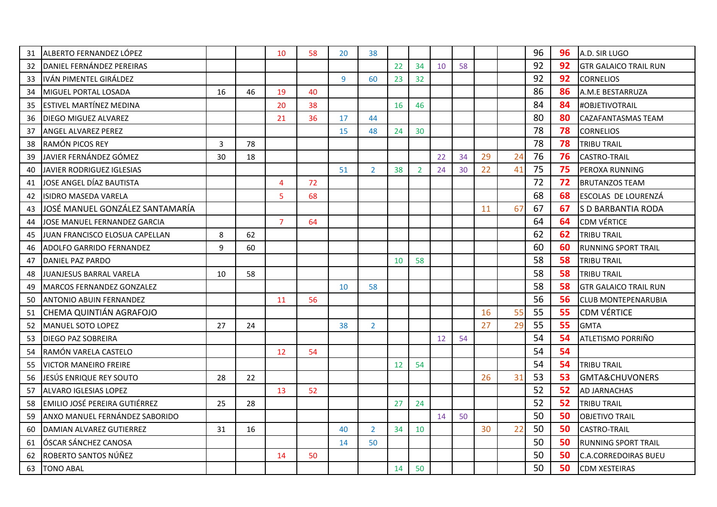| 31 | ALBERTO FERNANDEZ LÓPEZ             |    |    | 10             | 58 | 20 | 38             |    |                |    |    |    |    | 96 | 96 | A.D. SIR LUGO                |
|----|-------------------------------------|----|----|----------------|----|----|----------------|----|----------------|----|----|----|----|----|----|------------------------------|
| 32 | DANIEL FERNÁNDEZ PEREIRAS           |    |    |                |    |    |                | 22 | 34             | 10 | 58 |    |    | 92 | 92 | <b>GTR GALAICO TRAIL RUN</b> |
| 33 | IVÁN PIMENTEL GIRÁLDEZ              |    |    |                |    | 9  | 60             | 23 | 32             |    |    |    |    | 92 | 92 | <b>CORNELIOS</b>             |
| 34 | MIGUEL PORTAL LOSADA                | 16 | 46 | 19             | 40 |    |                |    |                |    |    |    |    | 86 | 86 | A.M.E BESTARRUZA             |
| 35 | ESTIVEL MARTÍNEZ MEDINA             |    |    | 20             | 38 |    |                | 16 | 46             |    |    |    |    | 84 | 84 | #OBJETIVOTRAIL               |
| 36 | <b>DIEGO MIGUEZ ALVAREZ</b>         |    |    | 21             | 36 | 17 | 44             |    |                |    |    |    |    | 80 | 80 | CAZAFANTASMAS TEAM           |
| 37 | <b>ANGEL ALVAREZ PEREZ</b>          |    |    |                |    | 15 | 48             | 24 | 30             |    |    |    |    | 78 | 78 | <b>CORNELIOS</b>             |
| 38 | RAMÓN PICOS REY                     | 3  | 78 |                |    |    |                |    |                |    |    |    |    | 78 | 78 | <b>TRIBU TRAIL</b>           |
| 39 | JAVIER FERNÁNDEZ GÓMEZ              | 30 | 18 |                |    |    |                |    |                | 22 | 34 | 29 | 24 | 76 | 76 | <b>CASTRO-TRAIL</b>          |
| 40 | JAVIER RODRIGUEZ IGLESIAS           |    |    |                |    | 51 | 2 <sup>1</sup> | 38 | $\overline{2}$ | 24 | 30 | 22 | 41 | 75 | 75 | PEROXA RUNNING               |
| 41 | JOSE ANGEL DÍAZ BAUTISTA            |    |    | $\overline{4}$ | 72 |    |                |    |                |    |    |    |    | 72 | 72 | <b>BRUTANZOS TEAM</b>        |
| 42 | <b>ISIDRO MASEDA VARELA</b>         |    |    | 5              | 68 |    |                |    |                |    |    |    |    | 68 | 68 | ESCOLAS DE LOURENZÁ          |
| 43 | JOSÉ MANUEL GONZÁLEZ SANTAMARÍA     |    |    |                |    |    |                |    |                |    |    | 11 | 67 | 67 | 67 | S D BARBANTIA RODA           |
| 44 | <b>JOSE MANUEL FERNANDEZ GARCIA</b> |    |    | $\overline{7}$ | 64 |    |                |    |                |    |    |    |    | 64 | 64 | <b>CDM VÉRTICE</b>           |
| 45 | JUAN FRANCISCO ELOSUA CAPELLAN      | 8  | 62 |                |    |    |                |    |                |    |    |    |    | 62 | 62 | <b>TRIBU TRAIL</b>           |
| 46 | ADOLFO GARRIDO FERNANDEZ            | 9  | 60 |                |    |    |                |    |                |    |    |    |    | 60 | 60 | <b>RUNNING SPORT TRAIL</b>   |
| 47 | DANIEL PAZ PARDO                    |    |    |                |    |    |                | 10 | 58             |    |    |    |    | 58 | 58 | <b>TRIBU TRAIL</b>           |
| 48 | JUANJESUS BARRAL VARELA             | 10 | 58 |                |    |    |                |    |                |    |    |    |    | 58 | 58 | <b>TRIBU TRAIL</b>           |
| 49 | <b>MARCOS FERNANDEZ GONZALEZ</b>    |    |    |                |    | 10 | 58             |    |                |    |    |    |    | 58 | 58 | <b>GTR GALAICO TRAIL RUN</b> |
| 50 | <b>ANTONIO ABUIN FERNANDEZ</b>      |    |    | 11             | 56 |    |                |    |                |    |    |    |    | 56 | 56 | <b>CLUB MONTEPENARUBIA</b>   |
| 51 | CHEMA QUINTIÁN AGRAFOJO             |    |    |                |    |    |                |    |                |    |    | 16 | 55 | 55 | 55 | <b>CDM VÉRTICE</b>           |
| 52 | <b>MANUEL SOTO LOPEZ</b>            | 27 | 24 |                |    | 38 | $\overline{2}$ |    |                |    |    | 27 | 29 | 55 | 55 | <b>GMTA</b>                  |
| 53 | DIEGO PAZ SOBREIRA                  |    |    |                |    |    |                |    |                | 12 | 54 |    |    | 54 | 54 | ATLETISMO PORRIÑO            |
| 54 | RAMÓN VARELA CASTELO                |    |    | 12             | 54 |    |                |    |                |    |    |    |    | 54 | 54 |                              |
| 55 | <b>VICTOR MANEIRO FREIRE</b>        |    |    |                |    |    |                | 12 | 54             |    |    |    |    | 54 | 54 | <b>TRIBU TRAIL</b>           |
| 56 | JESÚS ENRIQUE REY SOUTO             | 28 | 22 |                |    |    |                |    |                |    |    | 26 | 31 | 53 | 53 | <b>GMTA&amp;CHUVONERS</b>    |
| 57 | ALVARO IGLESIAS LOPEZ               |    |    | 13             | 52 |    |                |    |                |    |    |    |    | 52 | 52 | AD JARNACHAS                 |
| 58 | EMILIO JOSÉ PEREIRA GUTIÉRREZ       | 25 | 28 |                |    |    |                | 27 | 24             |    |    |    |    | 52 | 52 | <b>TRIBU TRAIL</b>           |
| 59 | ANXO MANUEL FERNÁNDEZ SABORIDO      |    |    |                |    |    |                |    |                | 14 | 50 |    |    | 50 | 50 | <b>OBJETIVO TRAIL</b>        |
| 60 | DAMIAN ALVAREZ GUTIERREZ            | 31 | 16 |                |    | 40 | $\overline{2}$ | 34 | 10             |    |    | 30 | 22 | 50 | 50 | <b>CASTRO-TRAIL</b>          |
| 61 | ÓSCAR SÁNCHEZ CANOSA                |    |    |                |    | 14 | 50             |    |                |    |    |    |    | 50 | 50 | <b>RUNNING SPORT TRAIL</b>   |
| 62 | ROBERTO SANTOS NÚÑEZ                |    |    | 14             | 50 |    |                |    |                |    |    |    |    | 50 | 50 | <b>C.A.CORREDOIRAS BUEU</b>  |
| 63 | <b>TONO ABAL</b>                    |    |    |                |    |    |                | 14 | 50             |    |    |    |    | 50 | 50 | <b>CDM XESTEIRAS</b>         |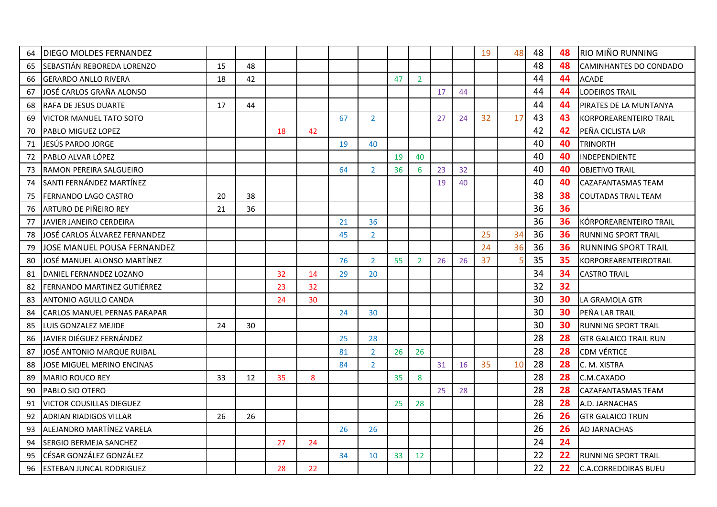| 64 | DIEGO MOLDES FERNANDEZ          |    |    |    |    |    |                |    |                |    |    | 19 | 48 | 48 | 48 | <b>RIO MIÑO RUNNING</b>       |
|----|---------------------------------|----|----|----|----|----|----------------|----|----------------|----|----|----|----|----|----|-------------------------------|
| 65 | SEBASTIÁN REBOREDA LORENZO      | 15 | 48 |    |    |    |                |    |                |    |    |    |    | 48 | 48 | CAMINHANTES DO CONDADO        |
| 66 | GERARDO ANLLO RIVERA            | 18 | 42 |    |    |    |                | 47 | $\overline{2}$ |    |    |    |    | 44 | 44 | <b>ACADE</b>                  |
| 67 | JOSÉ CARLOS GRAÑA ALONSO        |    |    |    |    |    |                |    |                | 17 | 44 |    |    | 44 | 44 | <b>LODEIROS TRAIL</b>         |
| 68 | RAFA DE JESUS DUARTE            | 17 | 44 |    |    |    |                |    |                |    |    |    |    | 44 | 44 | PIRATES DE LA MUNTANYA        |
| 69 | <b>VICTOR MANUEL TATO SOTO</b>  |    |    |    |    | 67 | $\overline{2}$ |    |                | 27 | 24 | 32 | 17 | 43 | 43 | <b>KORPOREARENTEIRO TRAIL</b> |
| 70 | <b>PABLO MIGUEZ LOPEZ</b>       |    |    | 18 | 42 |    |                |    |                |    |    |    |    | 42 | 42 | PEÑA CICLISTA LAR             |
| 71 | JESÚS PARDO JORGE               |    |    |    |    | 19 | 40             |    |                |    |    |    |    | 40 | 40 | <b>TRINORTH</b>               |
| 72 | PABLO ALVAR LÓPEZ               |    |    |    |    |    |                | 19 | 40             |    |    |    |    | 40 | 40 | INDEPENDIENTE                 |
| 73 | RAMON PEREIRA SALGUEIRO         |    |    |    |    | 64 | $\overline{2}$ | 36 | 6              | 23 | 32 |    |    | 40 | 40 | <b>OBJETIVO TRAIL</b>         |
| 74 | SANTI FERNÁNDEZ MARTÍNEZ        |    |    |    |    |    |                |    |                | 19 | 40 |    |    | 40 | 40 | CAZAFANTASMAS TEAM            |
| 75 | FERNANDO LAGO CASTRO            | 20 | 38 |    |    |    |                |    |                |    |    |    |    | 38 | 38 | <b>COUTADAS TRAIL TEAM</b>    |
| 76 | ARTURO DE PIÑEIRO REY           | 21 | 36 |    |    |    |                |    |                |    |    |    |    | 36 | 36 |                               |
| 77 | JAVIER JANEIRO CERDEIRA         |    |    |    |    | 21 | 36             |    |                |    |    |    |    | 36 | 36 | KÓRPOREARENTEIRO TRAIL        |
| 78 | JOSÉ CARLOS ÁLVAREZ FERNANDEZ   |    |    |    |    | 45 | $\overline{2}$ |    |                |    |    | 25 | 34 | 36 | 36 | <b>RUNNING SPORT TRAIL</b>    |
| 79 | JOSE MANUEL POUSA FERNANDEZ     |    |    |    |    |    |                |    |                |    |    | 24 | 36 | 36 | 36 | <b>RUNNING SPORT TRAIL</b>    |
| 80 | JOSÉ MANUEL ALONSO MARTÍNEZ     |    |    |    |    | 76 | $\overline{2}$ | 55 | $\overline{2}$ | 26 | 26 | 37 |    | 35 | 35 | KORPOREARENTEIROTRAIL         |
| 81 | DANIEL FERNANDEZ LOZANO         |    |    | 32 | 14 | 29 | 20             |    |                |    |    |    |    | 34 | 34 | <b>CASTRO TRAIL</b>           |
| 82 | FERNANDO MARTINEZ GUTIÉRREZ     |    |    | 23 | 32 |    |                |    |                |    |    |    |    | 32 | 32 |                               |
| 83 | ANTONIO AGULLO CANDA            |    |    | 24 | 30 |    |                |    |                |    |    |    |    | 30 | 30 | LA GRAMOLA GTR                |
| 84 | CARLOS MANUEL PERNAS PARAPAR    |    |    |    |    | 24 | 30             |    |                |    |    |    |    | 30 | 30 | PEÑA LAR TRAIL                |
| 85 | LUIS GONZALEZ MEJIDE            | 24 | 30 |    |    |    |                |    |                |    |    |    |    | 30 | 30 | <b>RUNNING SPORT TRAIL</b>    |
| 86 | JAVIER DIÉGUEZ FERNÁNDEZ        |    |    |    |    | 25 | 28             |    |                |    |    |    |    | 28 | 28 | <b>GTR GALAICO TRAIL RUN</b>  |
| 87 | JOSE ANTONIO MARQUE RUIBAL      |    |    |    |    | 81 | $\overline{2}$ | 26 | 26             |    |    |    |    | 28 | 28 | <b>CDM VÉRTICE</b>            |
| 88 | JOSE MIGUEL MERINO ENCINAS      |    |    |    |    | 84 | $\overline{2}$ |    |                | 31 | 16 | 35 | 10 | 28 | 28 | C. M. XISTRA                  |
| 89 | <b>MARIO ROUCO REY</b>          | 33 | 12 | 35 | 8  |    |                | 35 | 8              |    |    |    |    | 28 | 28 | C.M.CAXADO                    |
| 90 | PABLO SIO OTERO                 |    |    |    |    |    |                |    |                | 25 | 28 |    |    | 28 | 28 | CAZAFANTASMAS TEAM            |
| 91 | <b>VICTOR COUSILLAS DIEGUEZ</b> |    |    |    |    |    |                | 25 | 28             |    |    |    |    | 28 | 28 | A.D. JARNACHAS                |
| 92 | <b>ADRIAN RIADIGOS VILLAR</b>   | 26 | 26 |    |    |    |                |    |                |    |    |    |    | 26 | 26 | <b>GTR GALAICO TRUN</b>       |
| 93 | IALEJANDRO MARTÍNEZ VARELA      |    |    |    |    | 26 | 26             |    |                |    |    |    |    | 26 | 26 | <b>AD JARNACHAS</b>           |
| 94 | SERGIO BERMEJA SANCHEZ          |    |    | 27 | 24 |    |                |    |                |    |    |    |    | 24 | 24 |                               |
| 95 | CÉSAR GONZÁLEZ GONZÁLEZ         |    |    |    |    | 34 | 10             | 33 | 12             |    |    |    |    | 22 | 22 | <b>RUNNING SPORT TRAIL</b>    |
| 96 | <b>ESTEBAN JUNCAL RODRIGUEZ</b> |    |    | 28 | 22 |    |                |    |                |    |    |    |    | 22 | 22 | <b>C.A.CORREDOIRAS BUEU</b>   |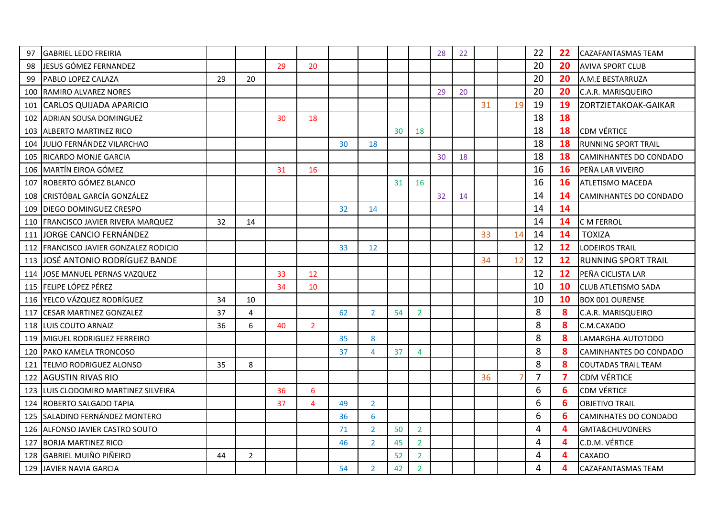| 97  | <b>GABRIEL LEDO FREIRIA</b>               |    |                |    |                |    |                |    |                | 28 | 22 |    |    | 22             | 22                      | CAZAFANTASMAS TEAM         |
|-----|-------------------------------------------|----|----------------|----|----------------|----|----------------|----|----------------|----|----|----|----|----------------|-------------------------|----------------------------|
| 98  | JESUS GÓMEZ FERNANDEZ                     |    |                | 29 | 20             |    |                |    |                |    |    |    |    | 20             | 20                      | <b>AVIVA SPORT CLUB</b>    |
| 99  | PABLO LOPEZ CALAZA                        | 29 | 20             |    |                |    |                |    |                |    |    |    |    | 20             | 20                      | A.M.E BESTARRUZA           |
| 100 | <b>RAMIRO ALVAREZ NORES</b>               |    |                |    |                |    |                |    |                | 29 | 20 |    |    | 20             | 20                      | C.A.R. MARISQUEIRO         |
| 101 | CARLOS QUIJADA APARICIO                   |    |                |    |                |    |                |    |                |    |    | 31 | 19 | 19             | 19                      | ZORTZIETAKOAK-GAIKAR       |
| 102 | <b>ADRIAN SOUSA DOMINGUEZ</b>             |    |                | 30 | 18             |    |                |    |                |    |    |    |    | 18             | 18                      |                            |
| 103 | <b>IALBERTO MARTINEZ RICO</b>             |    |                |    |                |    |                | 30 | 18             |    |    |    |    | 18             | 18                      | <b>CDM VÉRTICE</b>         |
| 104 | JULIO FERNÁNDEZ VILARCHAO                 |    |                |    |                | 30 | 18             |    |                |    |    |    |    | 18             | 18                      | <b>RUNNING SPORT TRAIL</b> |
| 105 | <b>RICARDO MONJE GARCIA</b>               |    |                |    |                |    |                |    |                | 30 | 18 |    |    | 18             | 18                      | CAMINHANTES DO CONDADO     |
| 106 | MARTÍN EIROA GÓMEZ                        |    |                | 31 | 16             |    |                |    |                |    |    |    |    | 16             | 16                      | PEÑA LAR VIVEIRO           |
| 107 | ROBERTO GÓMEZ BLANCO                      |    |                |    |                |    |                | 31 | 16             |    |    |    |    | 16             | 16                      | <b>ATLETISMO MACEDA</b>    |
| 108 | CRISTÓBAL GARCÍA GONZÁLEZ                 |    |                |    |                |    |                |    |                | 32 | 14 |    |    | 14             | 14                      | CAMINHANTES DO CONDADO     |
| 109 | DIEGO DOMINGUEZ CRESPO                    |    |                |    |                | 32 | 14             |    |                |    |    |    |    | 14             | 14                      |                            |
| 110 | FRANCISCO JAVIER RIVERA MARQUEZ           | 32 | 14             |    |                |    |                |    |                |    |    |    |    | 14             | 14                      | C M FERROL                 |
|     | 111 JORGE CANCIO FERNÁNDEZ                |    |                |    |                |    |                |    |                |    |    | 33 | 14 | 14             | 14                      | <b>TOXIZA</b>              |
| 112 | <b>FRANCISCO JAVIER GONZALEZ RODICIO</b>  |    |                |    |                | 33 | 12             |    |                |    |    |    |    | 12             | 12                      | <b>LODEIROS TRAIL</b>      |
| 113 | lJOSÉ ANTONIO RODRÍGUEZ BANDE             |    |                |    |                |    |                |    |                |    |    | 34 | 12 | 12             | 12                      | <b>RUNNING SPORT TRAIL</b> |
|     | 114 JOSE MANUEL PERNAS VAZQUEZ            |    |                | 33 | 12             |    |                |    |                |    |    |    |    | 12             | 12                      | PEÑA CICLISTA LAR          |
|     | 115 FELIPE LÓPEZ PÉREZ                    |    |                | 34 | 10             |    |                |    |                |    |    |    |    | 10             | 10                      | CLUB ATLETISMO SADA        |
|     | 116 YELCO VÁZQUEZ RODRÍGUEZ               | 34 | 10             |    |                |    |                |    |                |    |    |    |    | 10             | 10                      | <b>BOX 001 OURENSE</b>     |
| 117 | <b>CESAR MARTINEZ GONZALEZ</b>            | 37 | 4              |    |                | 62 | $\overline{2}$ | 54 | $\overline{2}$ |    |    |    |    | 8              | 8                       | C.A.R. MARISQUEIRO         |
| 118 | <b>LUIS COUTO ARNAIZ</b>                  | 36 | 6              | 40 | $\overline{2}$ |    |                |    |                |    |    |    |    | 8              | 8                       | C.M.CAXADO                 |
| 119 | MIGUEL RODRIGUEZ FERREIRO                 |    |                |    |                | 35 | 8              |    |                |    |    |    |    | 8              | 8                       | LAMARGHA-AUTOTODO          |
| 120 | PAKO KAMELA TRONCOSO                      |    |                |    |                | 37 | 4              | 37 | $\overline{4}$ |    |    |    |    | 8              | 8                       | CAMINHANTES DO CONDADO     |
| 121 | <b>TELMO RODRIGUEZ ALONSO</b>             | 35 | 8              |    |                |    |                |    |                |    |    |    |    | 8              | 8                       | <b>COUTADAS TRAIL TEAM</b> |
| 122 | <b>AGUSTIN RIVAS RIO</b>                  |    |                |    |                |    |                |    |                |    |    | 36 | 7  | $\overline{7}$ | $\overline{\mathbf{z}}$ | <b>CDM VÉRTICE</b>         |
| 123 | <b>I</b> LUIS CLODOMIRO MARTINEZ SILVEIRA |    |                | 36 | 6              |    |                |    |                |    |    |    |    | 6              | 6                       | <b>CDM VÉRTICE</b>         |
| 124 | ROBERTO SALGADO TAPIA                     |    |                | 37 | $\overline{4}$ | 49 | $\overline{2}$ |    |                |    |    |    |    | 6              | 6                       | <b>OBJETIVO TRAIL</b>      |
| 125 | SALADINO FERNÁNDEZ MONTERO                |    |                |    |                | 36 | 6              |    |                |    |    |    |    | 6              | 6                       | CAMINHATES DO CONDADO      |
|     | 126 ALFONSO JAVIER CASTRO SOUTO           |    |                |    |                | 71 | $\overline{2}$ | 50 | $\overline{2}$ |    |    |    |    | 4              | 4                       | GMTA&CHUVONERS             |
| 127 | <b>BORJA MARTINEZ RICO</b>                |    |                |    |                | 46 | $\overline{2}$ | 45 | $\overline{2}$ |    |    |    |    | 4              | 4                       | C.D.M. VÉRTICE             |
| 128 | <b>GABRIEL MUIÑO PIÑEIRO</b>              | 44 | $\overline{2}$ |    |                |    |                | 52 | $\overline{2}$ |    |    |    |    | 4              | 4                       | CAXADO                     |
|     | 129 JJAVIER NAVIA GARCIA                  |    |                |    |                | 54 | $\overline{2}$ | 42 | $\overline{2}$ |    |    |    |    | 4              | 4                       | <b>CAZAFANTASMAS TEAM</b>  |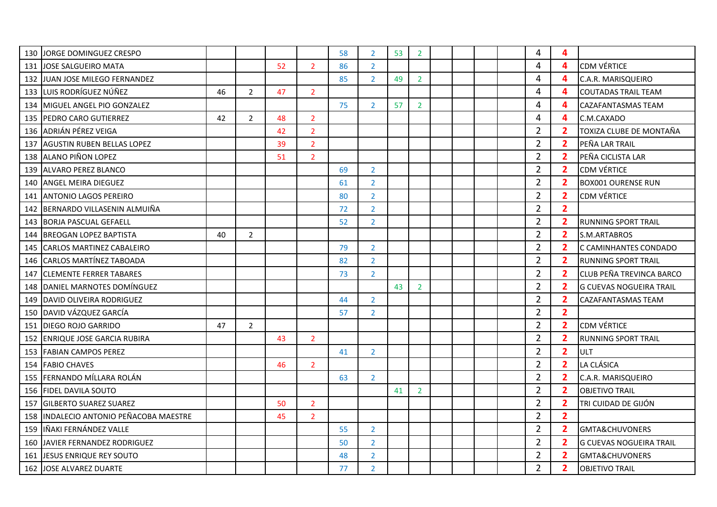| 130 | JORGE DOMINGUEZ CRESPO             |    |                |    |                | 58 | $\overline{2}$ | 53 | $\overline{2}$ |  |  | 4              | $\overline{4}$          |                                |
|-----|------------------------------------|----|----------------|----|----------------|----|----------------|----|----------------|--|--|----------------|-------------------------|--------------------------------|
| 131 | JOSE SALGUEIRO MATA                |    |                | 52 | $\overline{2}$ | 86 | $2^{\circ}$    |    |                |  |  | 4              | $\overline{4}$          | <b>CDM VÉRTICE</b>             |
|     | 132 JJUAN JOSE MILEGO FERNANDEZ    |    |                |    |                | 85 | $\overline{2}$ | 49 | $\overline{2}$ |  |  | 4              | $\overline{4}$          | C.A.R. MARISQUEIRO             |
|     | 133 LUIS RODRÍGUEZ NÚÑEZ           | 46 | 2              | 47 | $\overline{2}$ |    |                |    |                |  |  | 4              | $\overline{4}$          | <b>COUTADAS TRAIL TEAM</b>     |
| 134 | MIGUEL ANGEL PIO GONZALEZ          |    |                |    |                | 75 | $\overline{2}$ | 57 | $\overline{2}$ |  |  | 4              | 4                       | CAZAFANTASMAS TEAM             |
|     | 135 PEDRO CARO GUTIERREZ           | 42 | $\overline{2}$ | 48 | $\overline{2}$ |    |                |    |                |  |  | 4              | $\overline{\mathbf{4}}$ | C.M.CAXADO                     |
|     | 136 ADRIÁN PÉREZ VEIGA             |    |                | 42 | $\overline{2}$ |    |                |    |                |  |  | $\overline{2}$ | $\overline{2}$          | TOXIZA CLUBE DE MONTAÑA        |
| 137 | <b>AGUSTIN RUBEN BELLAS LOPEZ</b>  |    |                | 39 | $\overline{2}$ |    |                |    |                |  |  | $\overline{2}$ | $\overline{\mathbf{2}}$ | PEÑA LAR TRAIL                 |
|     | 138 ALANO PIÑON LOPEZ              |    |                | 51 | $\overline{2}$ |    |                |    |                |  |  | $\overline{2}$ | $\overline{2}$          | PEÑA CICLISTA LAR              |
|     | 139 ALVARO PEREZ BLANCO            |    |                |    |                | 69 | $\overline{2}$ |    |                |  |  | $\overline{2}$ | $\overline{2}$          | <b>CDM VÉRTICE</b>             |
|     | 140 ANGEL MEIRA DIEGUEZ            |    |                |    |                | 61 | $\overline{2}$ |    |                |  |  | $\overline{2}$ | $\overline{2}$          | <b>BOX001 OURENSE RUN</b>      |
| 141 | <b>ANTONIO LAGOS PEREIRO</b>       |    |                |    |                | 80 | $\overline{2}$ |    |                |  |  | $\overline{2}$ | $\overline{2}$          | <b>CDM VÉRTICE</b>             |
| 142 | BERNARDO VILLASENIN ALMUIÑA        |    |                |    |                | 72 | $\overline{2}$ |    |                |  |  | $\overline{2}$ | $\overline{2}$          |                                |
| 143 | <b>BORJA PASCUAL GEFAELL</b>       |    |                |    |                | 52 | 2 <sup>1</sup> |    |                |  |  | $\overline{2}$ | $\overline{2}$          | <b>RUNNING SPORT TRAIL</b>     |
| 144 | <b>BREOGAN LOPEZ BAPTISTA</b>      | 40 | $\overline{2}$ |    |                |    |                |    |                |  |  | $\overline{2}$ | $\overline{2}$          | S.M.ARTABROS                   |
| 145 | <b>CARLOS MARTINEZ CABALEIRO</b>   |    |                |    |                | 79 | $\overline{2}$ |    |                |  |  | $\overline{2}$ | $\overline{2}$          | C CAMINHANTES CONDADO          |
| 146 | <b>CARLOS MARTÍNEZ TABOADA</b>     |    |                |    |                | 82 | 2 <sup>1</sup> |    |                |  |  | $\overline{2}$ | $\overline{\mathbf{2}}$ | <b>RUNNING SPORT TRAIL</b>     |
| 147 | <b>ICLEMENTE FERRER TABARES</b>    |    |                |    |                | 73 | $\overline{2}$ |    |                |  |  | $\overline{2}$ | $\overline{\mathbf{2}}$ | CLUB PEÑA TREVINCA BARCO       |
|     | 148 DANIEL MARNOTES DOMÍNGUEZ      |    |                |    |                |    |                | 43 | $\overline{2}$ |  |  | $\overline{2}$ | $\overline{\mathbf{2}}$ | <b>G CUEVAS NOGUEIRA TRAIL</b> |
| 149 | DAVID OLIVEIRA RODRIGUEZ           |    |                |    |                | 44 | $\overline{2}$ |    |                |  |  | $\overline{2}$ | $\overline{\mathbf{2}}$ | CAZAFANTASMAS TEAM             |
| 150 | DAVID VÁZQUEZ GARCÍA               |    |                |    |                | 57 | $\overline{2}$ |    |                |  |  | $\overline{2}$ | $\overline{2}$          |                                |
|     | 151 IDIEGO ROJO GARRIDO            | 47 | $\overline{2}$ |    |                |    |                |    |                |  |  | $\overline{2}$ | $\overline{2}$          | <b>CDM VÉRTICE</b>             |
| 152 | ENRIQUE JOSE GARCIA RUBIRA         |    |                | 43 | $\overline{2}$ |    |                |    |                |  |  | $\overline{2}$ | $\overline{\mathbf{2}}$ | <b>RUNNING SPORT TRAIL</b>     |
| 153 | <b>FABIAN CAMPOS PEREZ</b>         |    |                |    |                | 41 | $\overline{2}$ |    |                |  |  | $\overline{2}$ | $\overline{2}$          | ULT                            |
| 154 | <b>FABIO CHAVES</b>                |    |                | 46 | $\overline{2}$ |    |                |    |                |  |  | $\overline{2}$ | $\overline{2}$          | LA CLÁSICA                     |
|     | 155 FERNANDO MÍLLARA ROLÁN         |    |                |    |                | 63 | $\overline{2}$ |    |                |  |  | $\overline{2}$ | $\overline{2}$          | C.A.R. MARISQUEIRO             |
|     | 156   FIDEL DAVILA SOUTO           |    |                |    |                |    |                | 41 | $\overline{2}$ |  |  | $\overline{2}$ | $\overline{\mathbf{2}}$ | <b>OBJETIVO TRAIL</b>          |
| 157 | <b>GILBERTO SUAREZ SUAREZ</b>      |    |                | 50 | $\overline{2}$ |    |                |    |                |  |  | $\overline{2}$ | $\overline{2}$          | TRI CUIDAD DE GIJÓN            |
| 158 | INDALECIO ANTONIO PEÑACOBA MAESTRE |    |                | 45 | $\overline{2}$ |    |                |    |                |  |  | $\overline{2}$ | $\overline{2}$          |                                |
| 159 | IÑAKI FERNÁNDEZ VALLE              |    |                |    |                | 55 | $\overline{2}$ |    |                |  |  | $\overline{2}$ | $\overline{2}$          | <b>GMTA&amp;CHUVONERS</b>      |
| 160 | JAVIER FERNANDEZ RODRIGUEZ         |    |                |    |                | 50 | $\overline{2}$ |    |                |  |  | $\overline{2}$ | $\overline{\mathbf{2}}$ | <b>G CUEVAS NOGUEIRA TRAIL</b> |
| 161 | JESUS ENRIQUE REY SOUTO            |    |                |    |                | 48 | $\overline{2}$ |    |                |  |  | $\overline{2}$ | $\overline{2}$          | GMTA&CHUVONERS                 |
|     | 162 JOSE ALVAREZ DUARTE            |    |                |    |                | 77 | $\overline{2}$ |    |                |  |  | $\overline{2}$ | $\overline{\mathbf{2}}$ | <b>OBJETIVO TRAIL</b>          |